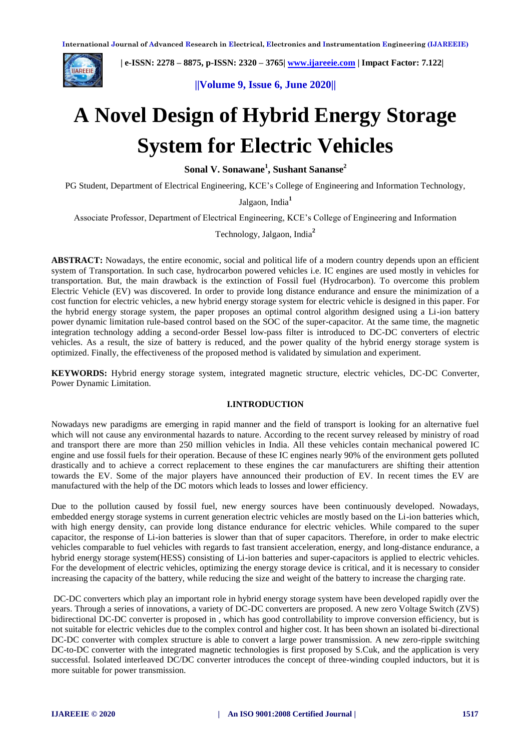

 **| e-ISSN: 2278 – 8875, p-ISSN: 2320 – 3765[| www.ijareeie.com](http://www.ijareeie.com/) | Impact Factor: 7.122|** 

**||Volume 9, Issue 6, June 2020||**

# **A Novel Design of Hybrid Energy Storage System for Electric Vehicles**

**Sonal V. Sonawane<sup>1</sup> , Sushant Sananse<sup>2</sup>**

PG Student, Department of Electrical Engineering, KCE's College of Engineering and Information Technology,

Jalgaon, India**<sup>1</sup>**

Associate Professor, Department of Electrical Engineering, KCE's College of Engineering and Information

Technology, Jalgaon, India**<sup>2</sup>**

**ABSTRACT:** Nowadays, the entire economic, social and political life of a modern country depends upon an efficient system of Transportation. In such case, hydrocarbon powered vehicles i.e. IC engines are used mostly in vehicles for transportation. But, the main drawback is the extinction of Fossil fuel (Hydrocarbon). To overcome this problem Electric Vehicle (EV) was discovered. In order to provide long distance endurance and ensure the minimization of a cost function for electric vehicles, a new hybrid energy storage system for electric vehicle is designed in this paper. For the hybrid energy storage system, the paper proposes an optimal control algorithm designed using a Li-ion battery power dynamic limitation rule-based control based on the SOC of the super-capacitor. At the same time, the magnetic integration technology adding a second-order Bessel low-pass filter is introduced to DC-DC converters of electric vehicles. As a result, the size of battery is reduced, and the power quality of the hybrid energy storage system is optimized. Finally, the effectiveness of the proposed method is validated by simulation and experiment.

**KEYWORDS:** Hybrid energy storage system, integrated magnetic structure, electric vehicles, DC-DC Converter, Power Dynamic Limitation.

# **I.INTRODUCTION**

Nowadays new paradigms are emerging in rapid manner and the field of transport is looking for an alternative fuel which will not cause any environmental hazards to nature. According to the recent survey released by ministry of road and transport there are more than 250 million vehicles in India. All these vehicles contain mechanical powered IC engine and use fossil fuels for their operation. Because of these IC engines nearly 90% of the environment gets polluted drastically and to achieve a correct replacement to these engines the car manufacturers are shifting their attention towards the EV. Some of the major players have announced their production of EV. In recent times the EV are manufactured with the help of the DC motors which leads to losses and lower efficiency.

Due to the pollution caused by fossil fuel, new energy sources have been continuously developed. Nowadays, embedded energy storage systems in current generation electric vehicles are mostly based on the Li-ion batteries which, with high energy density, can provide long distance endurance for electric vehicles. While compared to the super capacitor, the response of Li-ion batteries is slower than that of super capacitors. Therefore, in order to make electric vehicles comparable to fuel vehicles with regards to fast transient acceleration, energy, and long-distance endurance, a hybrid energy storage system(HESS) consisting of Li-ion batteries and super-capacitors is applied to electric vehicles. For the development of electric vehicles, optimizing the energy storage device is critical, and it is necessary to consider increasing the capacity of the battery, while reducing the size and weight of the battery to increase the charging rate.

DC-DC converters which play an important role in hybrid energy storage system have been developed rapidly over the years. Through a series of innovations, a variety of DC-DC converters are proposed. A new zero Voltage Switch (ZVS) bidirectional DC-DC converter is proposed in , which has good controllability to improve conversion efficiency, but is not suitable for electric vehicles due to the complex control and higher cost. It has been shown an isolated bi-directional DC-DC converter with complex structure is able to convert a large power transmission. A new zero-ripple switching DC-to-DC converter with the integrated magnetic technologies is first proposed by S.Cuk, and the application is very successful. Isolated interleaved DC/DC converter introduces the concept of three-winding coupled inductors, but it is more suitable for power transmission.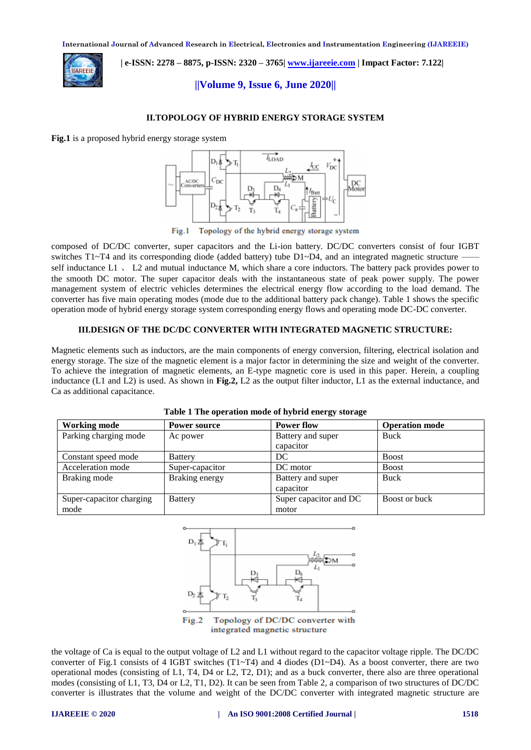

 **| e-ISSN: 2278 – 8875, p-ISSN: 2320 – 3765[| www.ijareeie.com](http://www.ijareeie.com/) | Impact Factor: 7.122|** 

# **||Volume 9, Issue 6, June 2020||**

## **II.TOPOLOGY OF HYBRID ENERGY STORAGE SYSTEM**

**Fig.1** is a proposed hybrid energy storage system



Topology of the hybrid energy storage system Fig.1

composed of DC/DC converter, super capacitors and the Li-ion battery. DC/DC converters consist of four IGBT switches  $T1~T4$  and its corresponding diode (added battery) tube  $D1~D4$ , and an integrated magnetic structure  $\overline{ }$ self inductance  $L1$   $\sim$   $L2$  and mutual inductance M, which share a core inductors. The battery pack provides power to the smooth DC motor. The super capacitor deals with the instantaneous state of peak power supply. The power management system of electric vehicles determines the electrical energy flow according to the load demand. The converter has five main operating modes (mode due to the additional battery pack change). Table 1 shows the specific operation mode of hybrid energy storage system corresponding energy flows and operating mode DC-DC converter.

## **III.DESIGN OF THE DC/DC CONVERTER WITH INTEGRATED MAGNETIC STRUCTURE:**

Magnetic elements such as inductors, are the main components of energy conversion, filtering, electrical isolation and energy storage. The size of the magnetic element is a major factor in determining the size and weight of the converter. To achieve the integration of magnetic elements, an E-type magnetic core is used in this paper. Herein, a coupling inductance (L1 and L2) is used. As shown in **Fig.2,** L2 as the output filter inductor, L1 as the external inductance, and Ca as additional capacitance.

| <b>Working mode</b>              | Power source    | <b>Power flow</b>               | <b>Operation mode</b> |
|----------------------------------|-----------------|---------------------------------|-----------------------|
| Parking charging mode            | Ac power        | Battery and super<br>capacitor  | <b>Buck</b>           |
| Constant speed mode              | <b>Battery</b>  | DC                              | <b>Boost</b>          |
| Acceleration mode                | Super-capacitor | DC motor                        | <b>Boost</b>          |
| Braking mode                     | Braking energy  | Battery and super<br>capacitor  | <b>Buck</b>           |
| Super-capacitor charging<br>mode | <b>Battery</b>  | Super capacitor and DC<br>motor | Boost or buck         |





Topology of DC/DC converter with Fig.2 integrated magnetic structure

the voltage of Ca is equal to the output voltage of L2 and L1 without regard to the capacitor voltage ripple. The DC/DC converter of Fig.1 consists of 4 IGBT switches  $(T1-T4)$  and 4 diodes  $(D1-D4)$ . As a boost converter, there are two operational modes (consisting of L1, T4, D4 or L2, T2, D1); and as a buck converter, there also are three operational modes (consisting of L1, T3, D4 or L2, T1, D2). It can be seen from Table 2, a comparison of two structures of DC/DC converter is illustrates that the volume and weight of the DC/DC converter with integrated magnetic structure are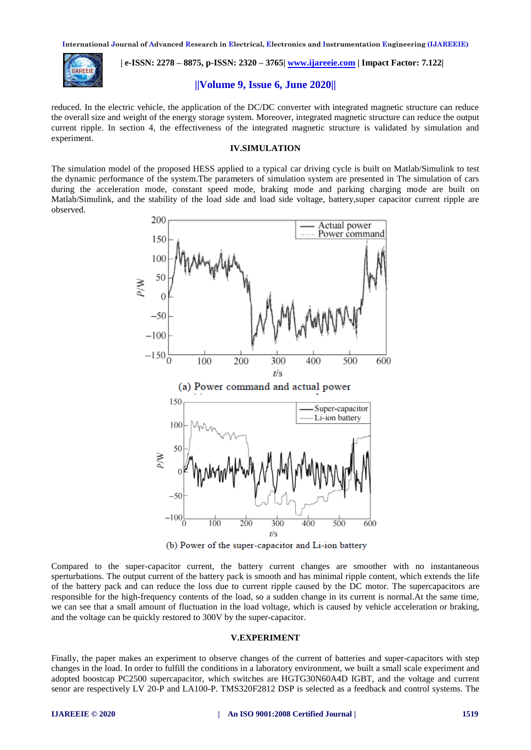

 **| e-ISSN: 2278 – 8875, p-ISSN: 2320 – 3765[| www.ijareeie.com](http://www.ijareeie.com/) | Impact Factor: 7.122|** 

## **||Volume 9, Issue 6, June 2020||**

reduced. In the electric vehicle, the application of the DC/DC converter with integrated magnetic structure can reduce the overall size and weight of the energy storage system. Moreover, integrated magnetic structure can reduce the output current ripple. In section 4, the effectiveness of the integrated magnetic structure is validated by simulation and experiment.

#### **IV.SIMULATION**

The simulation model of the proposed HESS applied to a typical car driving cycle is built on Matlab/Simulink to test the dynamic performance of the system.The parameters of simulation system are presented in The simulation of cars during the acceleration mode, constant speed mode, braking mode and parking charging mode are built on Matlab/Simulink, and the stability of the load side and load side voltage, battery,super capacitor current ripple are observed.



(b) Power of the super-capacitor and Li-ion battery

Compared to the super-capacitor current, the battery current changes are smoother with no instantaneous sperturbations. The output current of the battery pack is smooth and has minimal ripple content, which extends the life of the battery pack and can reduce the loss due to current ripple caused by the DC motor. The supercapacitors are responsible for the high-frequency contents of the load, so a sudden change in its current is normal.At the same time, we can see that a small amount of fluctuation in the load voltage, which is caused by vehicle acceleration or braking, and the voltage can be quickly restored to 300V by the super-capacitor.

#### **V.EXPERIMENT**

Finally, the paper makes an experiment to observe changes of the current of batteries and super-capacitors with step changes in the load. In order to fulfill the conditions in a laboratory environment, we built a small scale experiment and adopted boostcap PC2500 supercapacitor, which switches are HGTG30N60A4D IGBT, and the voltage and current senor are respectively LV 20-P and LA100-P. TMS320F2812 DSP is selected as a feedback and control systems. The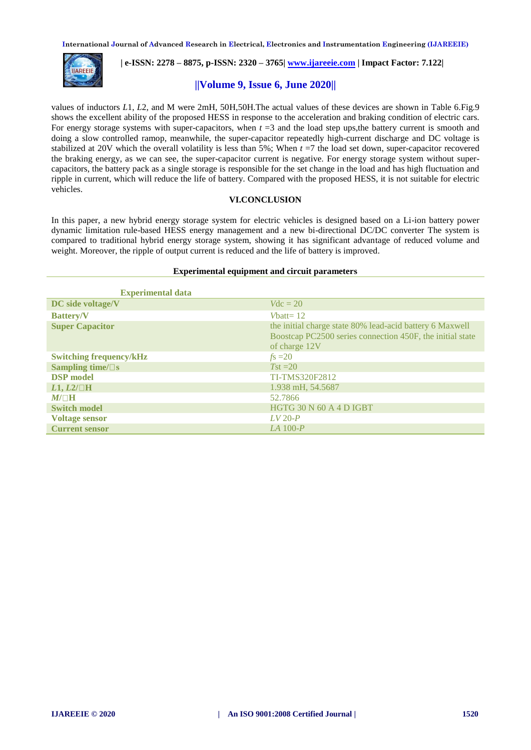

 **| e-ISSN: 2278 – 8875, p-ISSN: 2320 – 3765[| www.ijareeie.com](http://www.ijareeie.com/) | Impact Factor: 7.122|** 

# **||Volume 9, Issue 6, June 2020||**

values of inductors *L*1, *L*2, and M were 2mH, 50H,50H.The actual values of these devices are shown in Table 6.Fig.9 shows the excellent ability of the proposed HESS in response to the acceleration and braking condition of electric cars. For energy storage systems with super-capacitors, when  $t = 3$  and the load step ups, the battery current is smooth and doing a slow controlled ramop, meanwhile, the super-capacitor repeatedly high-current discharge and DC voltage is stabilized at 20V which the overall volatility is less than  $5\%$ ; When  $t = 7$  the load set down, super-capacitor recovered the braking energy, as we can see, the super-capacitor current is negative. For energy storage system without supercapacitors, the battery pack as a single storage is responsible for the set change in the load and has high fluctuation and ripple in current, which will reduce the life of battery. Compared with the proposed HESS, it is not suitable for electric vehicles.

## **VI.CONCLUSION**

In this paper, a new hybrid energy storage system for electric vehicles is designed based on a Li-ion battery power dynamic limitation rule-based HESS energy management and a new bi-directional DC/DC converter The system is compared to traditional hybrid energy storage system, showing it has significant advantage of reduced volume and weight. Moreover, the ripple of output current is reduced and the life of battery is improved.

#### **Experimental equipment and circuit parameters**

| <b>Experimental data</b>       |                                                                                                                                        |
|--------------------------------|----------------------------------------------------------------------------------------------------------------------------------------|
| DC side voltage/V              | $Vdc = 20$                                                                                                                             |
| <b>Battery/V</b>               | Vbatt= $12$                                                                                                                            |
| <b>Super Capacitor</b>         | the initial charge state 80% lead-acid battery 6 Maxwell<br>Boostcap PC2500 series connection 450F, the initial state<br>of charge 12V |
| <b>Switching frequency/kHz</b> | $f_s = 20$                                                                                                                             |
| Sampling time/ $\square$ s     | $Tst = 20$                                                                                                                             |
| <b>DSP</b> model               | <b>TI-TMS320F2812</b>                                                                                                                  |
| $L1, L2/\Box H$                | 1.938 mH, 54.5687                                                                                                                      |
| $M/\Box H$                     | 52.7866                                                                                                                                |
| <b>Switch model</b>            | HGTG 30 N 60 A 4 D IGBT                                                                                                                |
| <b>Voltage sensor</b>          | $LV 20-P$                                                                                                                              |
| <b>Current sensor</b>          | $LA$ 100- $P$                                                                                                                          |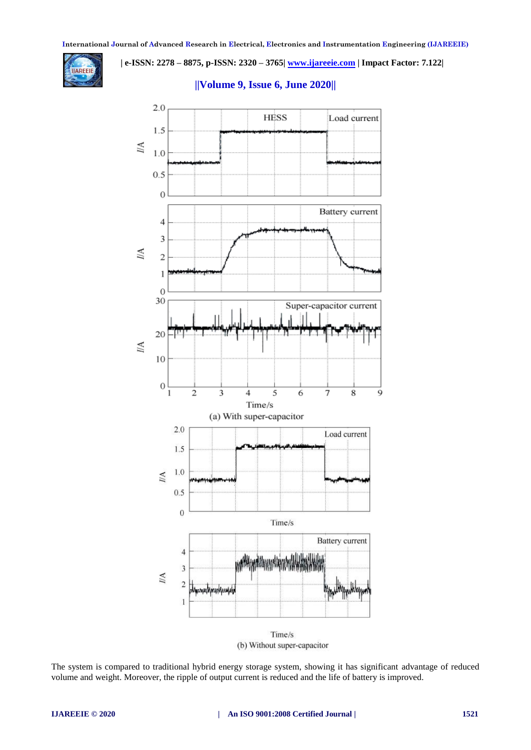

 **| e-ISSN: 2278 – 8875, p-ISSN: 2320 – 3765[| www.ijareeie.com](http://www.ijareeie.com/) | Impact Factor: 7.122|** 

# **||Volume 9, Issue 6, June 2020||**



(b) Without super-capacitor

The system is compared to traditional hybrid energy storage system, showing it has significant advantage of reduced volume and weight. Moreover, the ripple of output current is reduced and the life of battery is improved.